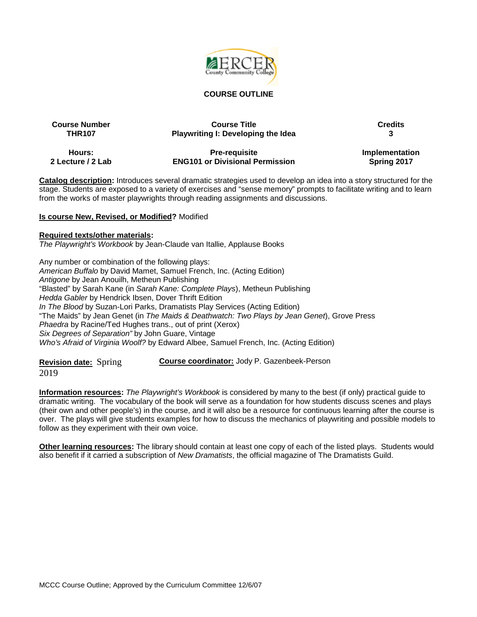

#### **COURSE OUTLINE**

| <b>Course Number</b> | <b>Course Title</b>                       | <b>Credits</b> |
|----------------------|-------------------------------------------|----------------|
| <b>THR107</b>        | <b>Playwriting I: Developing the Idea</b> |                |
| Hours:               | <b>Pre-requisite</b>                      | Implementation |
| 2 Lecture / 2 Lab    | <b>ENG101 or Divisional Permission</b>    | Spring 2017    |

**Catalog description:** Introduces several dramatic strategies used to develop an idea into a story structured for the stage. Students are exposed to a variety of exercises and "sense memory" prompts to facilitate writing and to learn from the works of master playwrights through reading assignments and discussions.

#### **Is course New, Revised, or Modified?** Modified

#### **Required texts/other materials:**

*The Playwright's Workbook* by Jean-Claude van Itallie, Applause Books

Any number or combination of the following plays: *American Buffalo* by David Mamet, Samuel French, Inc. (Acting Edition) *Antigone* by Jean Anouilh, Metheun Publishing "Blasted" by Sarah Kane (in *Sarah Kane: Complete Plays*), Metheun Publishing *Hedda Gabler* by Hendrick Ibsen, Dover Thrift Edition *In The Blood* by Suzan-Lori Parks, Dramatists Play Services (Acting Edition) "The Maids" by Jean Genet (in *The Maids & Deathwatch: Two Plays by Jean Genet*), Grove Press *Phaedra* by Racine/Ted Hughes trans., out of print (Xerox) *Six Degrees of Separation"* by John Guare, Vintage *Who's Afraid of Virginia Woolf?* by Edward Albee, Samuel French, Inc. (Acting Edition)

**Revision date:** Spring 2019 **Course coordinator:** Jody P. Gazenbeek-Person

**Information resources:** *The Playwright's Workbook* is considered by many to the best (if only) practical guide to dramatic writing. The vocabulary of the book will serve as a foundation for how students discuss scenes and plays (their own and other people's) in the course, and it will also be a resource for continuous learning after the course is over. The plays will give students examples for how to discuss the mechanics of playwriting and possible models to follow as they experiment with their own voice.

**Other learning resources:** The library should contain at least one copy of each of the listed plays. Students would also benefit if it carried a subscription of *New Dramatists*, the official magazine of The Dramatists Guild.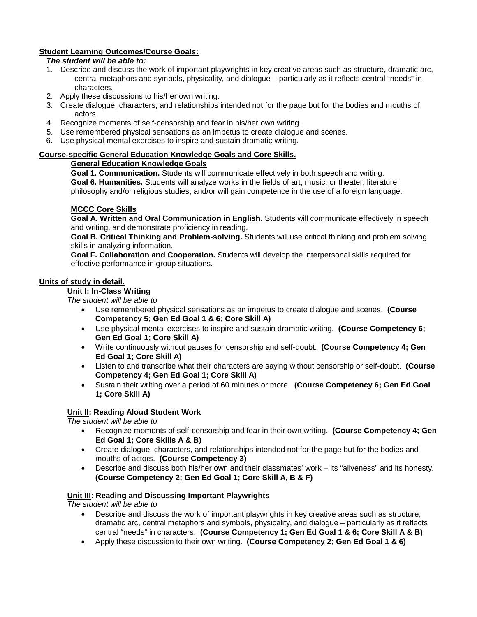## **Student Learning Outcomes/Course Goals:**

#### *The student will be able to:*

- 1. Describe and discuss the work of important playwrights in key creative areas such as structure, dramatic arc, central metaphors and symbols, physicality, and dialogue – particularly as it reflects central "needs" in characters.
- 2. Apply these discussions to his/her own writing.
- 3. Create dialogue, characters, and relationships intended not for the page but for the bodies and mouths of actors.
- 4. Recognize moments of self-censorship and fear in his/her own writing.
- 5. Use remembered physical sensations as an impetus to create dialogue and scenes.
- 6. Use physical-mental exercises to inspire and sustain dramatic writing.

#### **Course-specific General Education Knowledge Goals and Core Skills.**

### **General Education Knowledge Goals**

**Goal 1. Communication.** Students will communicate effectively in both speech and writing. **Goal 6. Humanities.** Students will analyze works in the fields of art, music, or theater; literature; philosophy and/or religious studies; and/or will gain competence in the use of a foreign language.

### **MCCC Core Skills**

**Goal A. Written and Oral Communication in English.** Students will communicate effectively in speech and writing, and demonstrate proficiency in reading.

**Goal B. Critical Thinking and Problem-solving.** Students will use critical thinking and problem solving skills in analyzing information.

**Goal F. Collaboration and Cooperation.** Students will develop the interpersonal skills required for effective performance in group situations.

#### **Units of study in detail.**

#### **Unit I: In-Class Writing**

*The student will be able to*

- Use remembered physical sensations as an impetus to create dialogue and scenes. **(Course Competency 5; Gen Ed Goal 1 & 6; Core Skill A)**
- Use physical-mental exercises to inspire and sustain dramatic writing. **(Course Competency 6; Gen Ed Goal 1; Core Skill A)**
- Write continuously without pauses for censorship and self-doubt. **(Course Competency 4; Gen Ed Goal 1; Core Skill A)**
- Listen to and transcribe what their characters are saying without censorship or self-doubt. **(Course Competency 4; Gen Ed Goal 1; Core Skill A)**
- Sustain their writing over a period of 60 minutes or more. **(Course Competency 6; Gen Ed Goal 1; Core Skill A)**

### **Unit II: Reading Aloud Student Work**

*The student will be able to*

- Recognize moments of self-censorship and fear in their own writing. **(Course Competency 4; Gen Ed Goal 1; Core Skills A & B)**
- Create dialogue, characters, and relationships intended not for the page but for the bodies and mouths of actors. **(Course Competency 3)**
- Describe and discuss both his/her own and their classmates' work its "aliveness" and its honesty. **(Course Competency 2; Gen Ed Goal 1; Core Skill A, B & F)**

### **Unit III: Reading and Discussing Important Playwrights**

*The student will be able to*

- Describe and discuss the work of important playwrights in key creative areas such as structure, dramatic arc, central metaphors and symbols, physicality, and dialogue – particularly as it reflects central "needs" in characters. **(Course Competency 1; Gen Ed Goal 1 & 6; Core Skill A & B)**
- Apply these discussion to their own writing. **(Course Competency 2; Gen Ed Goal 1 & 6)**